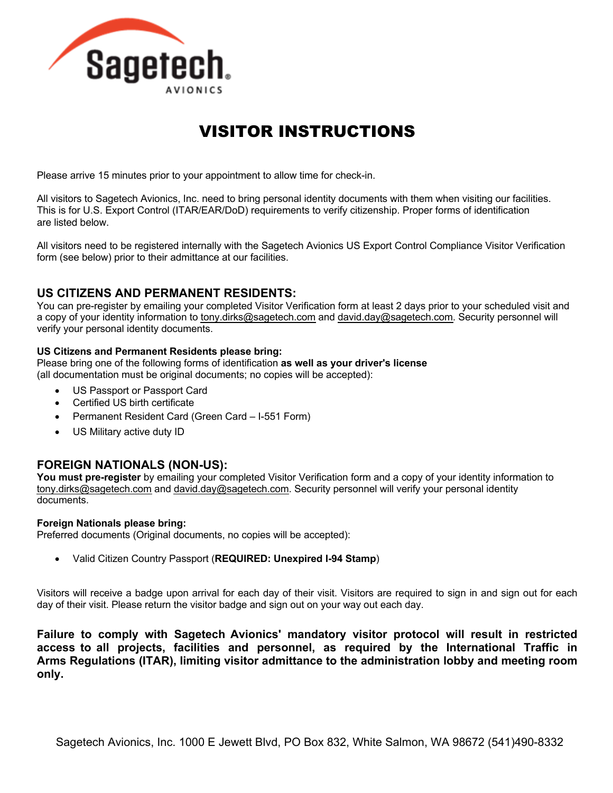

# VISITOR INSTRUCTIONS

Please arrive 15 minutes prior to your appointment to allow time for check-in.

All visitors to Sagetech Avionics, Inc. need to bring personal identity documents with them when visiting our facilities. This is for U.S. Export Control (ITAR/EAR/DoD) requirements to verify citizenship. Proper forms of identification are listed below.

All visitors need to be registered internally with the Sagetech Avionics US Export Control Compliance Visitor Verification form (see below) prior to their admittance at our facilities.

## **US CITIZENS AND PERMANENT RESIDENTS:**

You can pre-register by emailing your completed Visitor Verification form at least 2 days prior to your scheduled visit and a copy of your identity information to tony.dirks@sagetech.com and david.day@sagetech.com. Security personnel will verify your personal identity documents.

### **US Citizens and Permanent Residents please bring:**

Please bring one of the following forms of identification **as well as your driver's license** (all documentation must be original documents; no copies will be accepted):

- US Passport or Passport Card
- Certified US birth certificate
- Permanent Resident Card (Green Card I-551 Form)
- US Military active duty ID

## **FOREIGN NATIONALS (NON-US):**

**You must pre-register** by emailing your completed Visitor Verification form and a copy of your identity information to tony.dirks@sagetech.com and david.day@sagetech.com. Security personnel will verify your personal identity documents.

#### **Foreign Nationals please bring:**

Preferred documents (Original documents, no copies will be accepted):

• Valid Citizen Country Passport (**REQUIRED: Unexpired I-94 Stamp**)

Visitors will receive a badge upon arrival for each day of their visit. Visitors are required to sign in and sign out for each day of their visit. Please return the visitor badge and sign out on your way out each day.

**Failure to comply with Sagetech Avionics' mandatory visitor protocol will result in restricted access to all projects, facilities and personnel, as required by the International Traffic in Arms Regulations (ITAR), limiting visitor admittance to the administration lobby and meeting room only.**